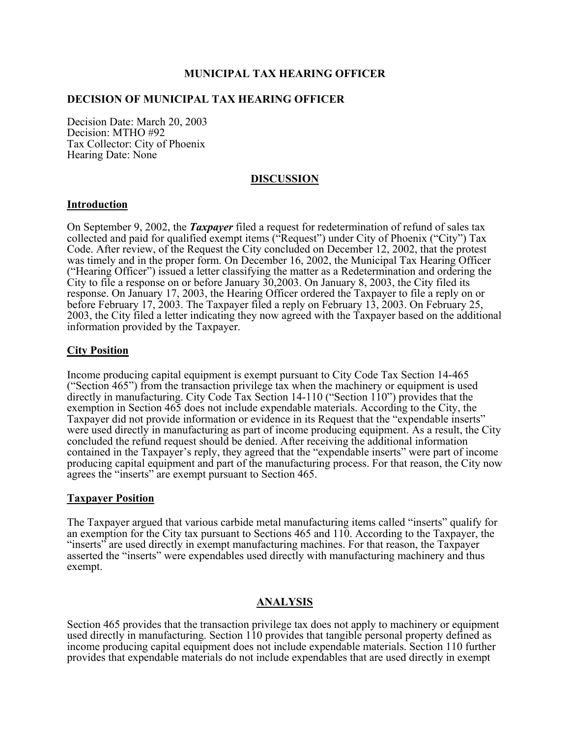## **MUNICIPAL TAX HEARING OFFICER**

## **DECISION OF MUNICIPAL TAX HEARING OFFICER**

Decision Date: March 20, 2003 Decision: MTHO #92 Tax Collector: City of Phoenix Hearing Date: None

### **DISCUSSION**

#### **Introduction**

On September 9, 2002, the *Taxpayer* filed a request for redetermination of refund of sales tax collected and paid for qualified exempt items ("Request") under City of Phoenix ("City") Tax Code. After review, of the Request the City concluded on December 12, 2002, that the protest was timely and in the proper form. On December 16, 2002, the Municipal Tax Hearing Officer ("Hearing Officer") issued a letter classifying the matter as a Redetermination and ordering the City to file a response on or before January 30,2003. On January 8, 2003, the City filed its response. On January 17, 2003, the Hearing Officer ordered the Taxpayer to file a reply on or before February 17, 2003. The Taxpayer filed a reply on February 13, 2003. On February 25, 2003, the City filed a letter indicating they now agreed with the Taxpayer based on the additional information provided by the Taxpayer.

### **City Position**

Income producing capital equipment is exempt pursuant to City Code Tax Section 14-465 ("Section 465") from the transaction privilege tax when the machinery or equipment is used directly in manufacturing. City Code Tax Section 14-110 ("Section 110") provides that the exemption in Section 465 does not include expendable materials. According to the City, the Taxpayer did not provide information or evidence in its Request that the "expendable inserts" were used directly in manufacturing as part of income producing equipment. As a result, the City concluded the refund request should be denied. After receiving the additional information contained in the Taxpayer's reply, they agreed that the "expendable inserts" were part of income producing capital equipment and part of the manufacturing process. For that reason, the City now agrees the "inserts" are exempt pursuant to Section 465.

#### **Taxpayer Position**

The Taxpayer argued that various carbide metal manufacturing items called "inserts" qualify for an exemption for the City tax pursuant to Sections 465 and 110. According to the Taxpayer, the "inserts" are used directly in exempt manufacturing machines. For that reason, the Taxpayer asserted the "inserts" were expendables used directly with manufacturing machinery and thus exempt.

## **ANALYSIS**

Section 465 provides that the transaction privilege tax does not apply to machinery or equipment used directly in manufacturing. Section 110 provides that tangible personal property defined as income producing capital equipment does not include expendable materials. Section 110 further provides that expendable materials do not include expendables that are used directly in exempt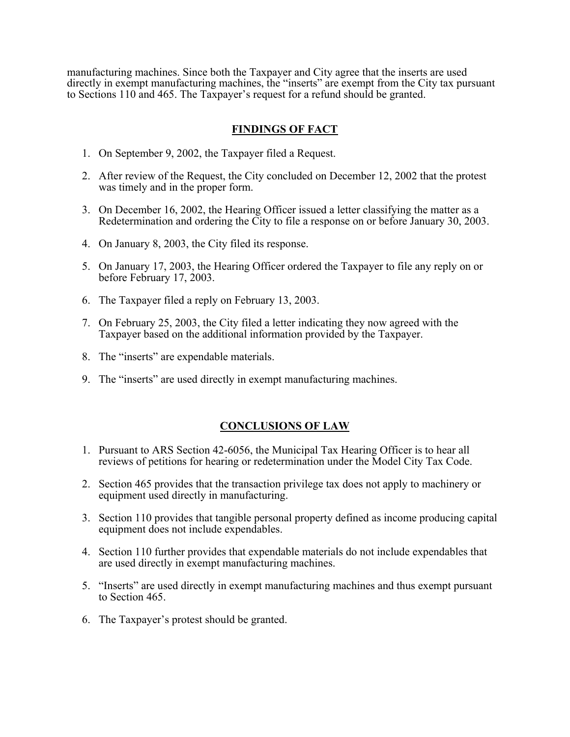manufacturing machines. Since both the Taxpayer and City agree that the inserts are used directly in exempt manufacturing machines, the "inserts" are exempt from the City tax pursuant to Sections 110 and 465. The Taxpayer's request for a refund should be granted.

# **FINDINGS OF FACT**

- 1. On September 9, 2002, the Taxpayer filed a Request.
- 2. After review of the Request, the City concluded on December 12, 2002 that the protest was timely and in the proper form.
- 3. On December 16, 2002, the Hearing Officer issued a letter classifying the matter as a Redetermination and ordering the City to file a response on or before January 30, 2003.
- 4. On January 8, 2003, the City filed its response.
- 5. On January 17, 2003, the Hearing Officer ordered the Taxpayer to file any reply on or before February 17, 2003.
- 6. The Taxpayer filed a reply on February 13, 2003.
- 7. On February 25, 2003, the City filed a letter indicating they now agreed with the Taxpayer based on the additional information provided by the Taxpayer.
- 8. The "inserts" are expendable materials.
- 9. The "inserts" are used directly in exempt manufacturing machines.

# **CONCLUSIONS OF LAW**

- 1. Pursuant to ARS Section 42-6056, the Municipal Tax Hearing Officer is to hear all reviews of petitions for hearing or redetermination under the Model City Tax Code.
- 2. Section 465 provides that the transaction privilege tax does not apply to machinery or equipment used directly in manufacturing.
- 3. Section 110 provides that tangible personal property defined as income producing capital equipment does not include expendables.
- 4. Section 110 further provides that expendable materials do not include expendables that are used directly in exempt manufacturing machines.
- 5. "Inserts" are used directly in exempt manufacturing machines and thus exempt pursuant to Section 465.
- 6. The Taxpayer's protest should be granted.